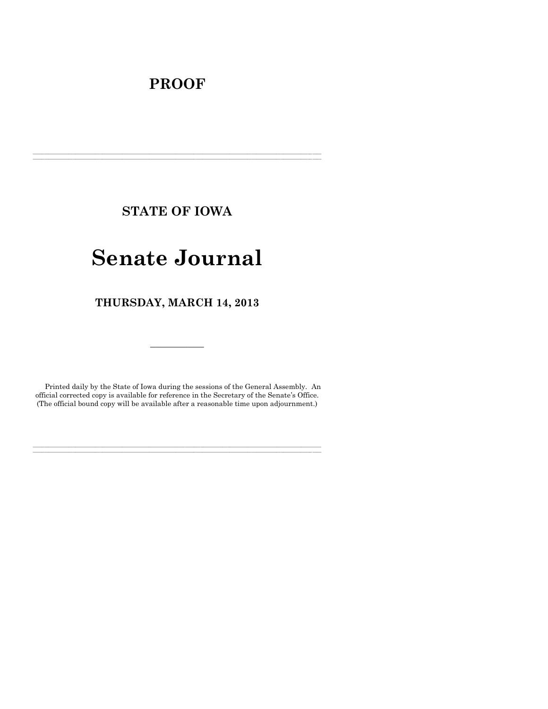## **PROOF**

**STATE OF IOWA**

**\_\_\_\_\_\_\_\_\_\_\_\_\_\_\_\_\_\_\_\_\_\_\_\_\_\_\_\_\_\_\_\_\_\_\_\_\_\_\_\_\_\_\_\_\_\_\_\_\_\_\_\_\_\_\_\_\_\_\_\_\_\_\_\_\_\_\_\_\_\_\_\_\_\_\_\_\_\_\_\_\_\_\_\_\_\_\_\_\_\_\_\_\_\_\_\_\_\_\_\_\_\_\_\_\_\_\_\_\_\_\_\_\_\_\_\_\_\_\_\_\_\_\_\_\_\_\_\_\_ \_\_\_\_\_\_\_\_\_\_\_\_\_\_\_\_\_\_\_\_\_\_\_\_\_\_\_\_\_\_\_\_\_\_\_\_\_\_\_\_\_\_\_\_\_\_\_\_\_\_\_\_\_\_\_\_\_\_\_\_\_\_\_\_\_\_\_\_\_\_\_\_\_\_\_\_\_\_\_\_\_\_\_\_\_\_\_\_\_\_\_\_\_\_\_\_\_\_\_\_\_\_\_\_\_\_\_\_\_\_\_\_\_\_\_\_\_\_\_\_\_\_\_\_\_\_\_\_\_**

# **Senate Journal**

**THURSDAY, MARCH 14, 2013**

Printed daily by the State of Iowa during the sessions of the General Assembly. An official corrected copy is available for reference in the Secretary of the Senate's Office. (The official bound copy will be available after a reasonable time upon adjournment.)

**\_\_\_\_\_\_\_\_\_\_\_\_\_\_\_\_\_\_\_\_\_\_\_\_\_\_\_\_\_\_\_\_\_\_\_\_\_\_\_\_\_\_\_\_\_\_\_\_\_\_\_\_\_\_\_\_\_\_\_\_\_\_\_\_\_\_\_\_\_\_\_\_\_\_\_\_\_\_\_\_\_\_\_\_\_\_\_\_\_\_\_\_\_\_\_\_\_\_\_\_\_\_\_\_\_\_\_\_\_\_\_\_\_\_\_\_\_\_\_\_\_\_\_\_\_\_\_\_\_ \_\_\_\_\_\_\_\_\_\_\_\_\_\_\_\_\_\_\_\_\_\_\_\_\_\_\_\_\_\_\_\_\_\_\_\_\_\_\_\_\_\_\_\_\_\_\_\_\_\_\_\_\_\_\_\_\_\_\_\_\_\_\_\_\_\_\_\_\_\_\_\_\_\_\_\_\_\_\_\_\_\_\_\_\_\_\_\_\_\_\_\_\_\_\_\_\_\_\_\_\_\_\_\_\_\_\_\_\_\_\_\_\_\_\_\_\_\_\_\_\_\_\_\_\_\_\_\_\_**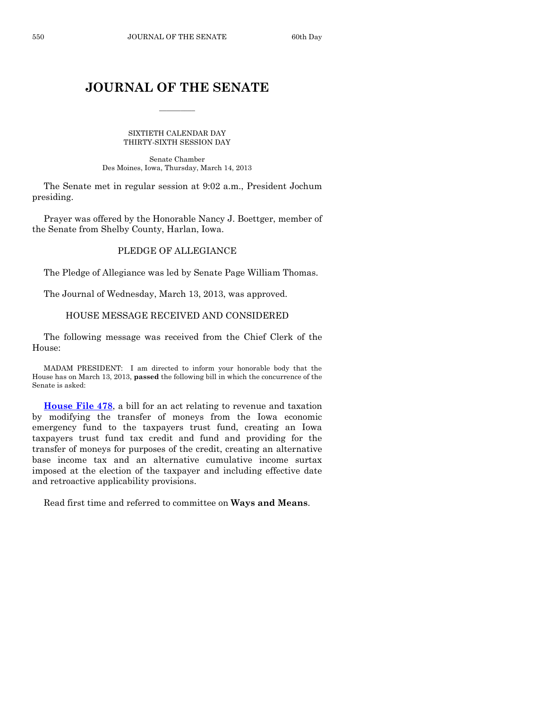### **JOURNAL OF THE SENATE**

 $\frac{1}{2}$ 

SIXTIETH CALENDAR DAY THIRTY-SIXTH SESSION DAY

Senate Chamber Des Moines, Iowa, Thursday, March 14, 2013

The Senate met in regular session at 9:02 a.m., President Jochum presiding.

Prayer was offered by the Honorable Nancy J. Boettger, member of the Senate from Shelby County, Harlan, Iowa.

### PLEDGE OF ALLEGIANCE

The Pledge of Allegiance was led by Senate Page William Thomas.

The Journal of Wednesday, March 13, 2013, was approved.

### HOUSE MESSAGE RECEIVED AND CONSIDERED

The following message was received from the Chief Clerk of the House:

MADAM PRESIDENT: I am directed to inform your honorable body that the House has on March 13, 2013, **passed** the following bill in which the concurrence of the Senate is asked:

**[House File 478](http://coolice.legis.state.ia.us/Cool-ICE/default.asp?Category=billinfo&Service=Billbook&frame=1&GA=85&hbill=HF478)**, a bill for an act relating to revenue and taxation by modifying the transfer of moneys from the Iowa economic emergency fund to the taxpayers trust fund, creating an Iowa taxpayers trust fund tax credit and fund and providing for the transfer of moneys for purposes of the credit, creating an alternative base income tax and an alternative cumulative income surtax imposed at the election of the taxpayer and including effective date and retroactive applicability provisions.

Read first time and referred to committee on **Ways and Means**.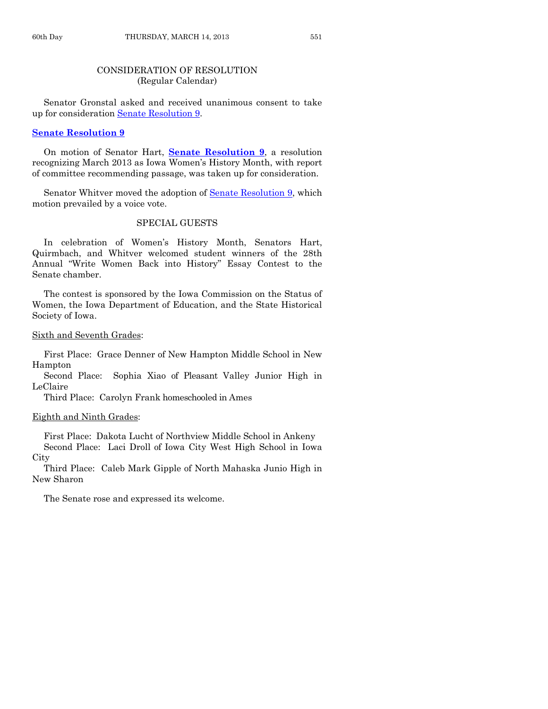### CONSIDERATION OF RESOLUTION (Regular Calendar)

Senator Gronstal asked and received unanimous consent to take up for consideration [Senate Resolution 9.](http://coolice.legis.state.ia.us/Cool-ICE/default.asp?Category=billinfo&Service=Billbook&frame=1&GA=85&hbill=SR9)

### **[Senate Resolution 9](http://coolice.legis.state.ia.us/Cool-ICE/default.asp?Category=billinfo&Service=Billbook&frame=1&GA=85&hbill=SR9)**

On motion of Senator Hart, **Senate [Resolution 9](http://coolice.legis.state.ia.us/Cool-ICE/default.asp?Category=billinfo&Service=Billbook&frame=1&GA=85&hbill=SR9)**, a resolution recognizing March 2013 as Iowa Women's History Month, with report of committee recommending passage, was taken up for consideration.

Senator Whitver moved the adoption of [Senate Resolution 9,](http://coolice.legis.state.ia.us/Cool-ICE/default.asp?Category=billinfo&Service=Billbook&frame=1&GA=85&hbill=SR9) which motion prevailed by a voice vote.

### SPECIAL GUESTS

In celebration of Women's History Month, Senators Hart, Quirmbach, and Whitver welcomed student winners of the 28th Annual "Write Women Back into History" Essay Contest to the Senate chamber.

The contest is sponsored by the Iowa Commission on the Status of Women, the Iowa Department of Education, and the State Historical Society of Iowa.

### Sixth and Seventh Grades:

First Place: Grace Denner of New Hampton Middle School in New Hampton

Second Place: Sophia Xiao of Pleasant Valley Junior High in LeClaire

Third Place: Carolyn Frank homeschooled in Ames

### Eighth and Ninth Grades:

First Place: Dakota Lucht of Northview Middle School in Ankeny

Second Place: Laci Droll of Iowa City West High School in Iowa **City** 

Third Place: Caleb Mark Gipple of North Mahaska Junio High in New Sharon

The Senate rose and expressed its welcome.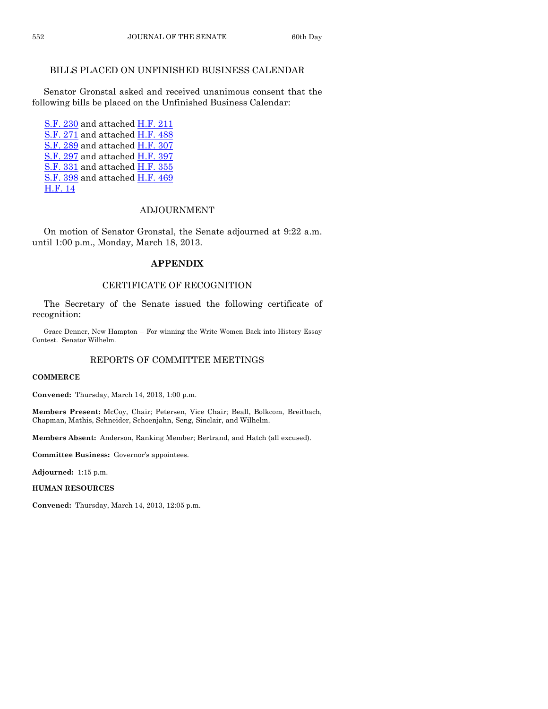### BILLS PLACED ON UNFINISHED BUSINESS CALENDAR

Senator Gronstal asked and received unanimous consent that the following bills be placed on the Unfinished Business Calendar:

[S.F. 230](http://coolice.legis.state.ia.us/Cool-ICE/default.asp?Category=billinfo&Service=Billbook&frame=1&GA=85&hbill=SF230) and attached [H.F.](http://coolice.legis.state.ia.us/Cool-ICE/default.asp?Category=billinfo&Service=Billbook&frame=1&GA=85&hbill=HF211) 211 [S.F.](http://coolice.legis.state.ia.us/Cool-ICE/default.asp?Category=billinfo&Service=Billbook&frame=1&GA=85&hbill=SF271) 271 and attached [H.F.](http://coolice.legis.state.ia.us/Cool-ICE/default.asp?Category=billinfo&Service=Billbook&frame=1&GA=85&hbill=HF488) 488 [S.F.](http://coolice.legis.state.ia.us/Cool-ICE/default.asp?Category=billinfo&Service=Billbook&frame=1&GA=85&hbill=SF289) 289 and attached [H.F.](http://coolice.legis.state.ia.us/Cool-ICE/default.asp?Category=billinfo&Service=Billbook&frame=1&GA=85&hbill=HF307) 307 [S.F.](http://coolice.legis.state.ia.us/Cool-ICE/default.asp?Category=billinfo&Service=Billbook&frame=1&GA=85&hbill=SF297) 297 and attached [H.F.](http://coolice.legis.state.ia.us/Cool-ICE/default.asp?Category=billinfo&Service=Billbook&frame=1&GA=85&hbill=HF397) 397 [S.F.](http://coolice.legis.state.ia.us/Cool-ICE/default.asp?Category=billinfo&Service=Billbook&frame=1&GA=85&hbill=SF331) 331 and attached [H.F.](http://coolice.legis.state.ia.us/Cool-ICE/default.asp?Category=billinfo&Service=Billbook&frame=1&GA=85&hbill=HF355) 355 [S.F.](http://coolice.legis.state.ia.us/Cool-ICE/default.asp?Category=billinfo&Service=Billbook&frame=1&GA=85&hbill=SF398) 398 and attached [H.F.](http://coolice.legis.state.ia.us/Cool-ICE/default.asp?Category=billinfo&Service=Billbook&frame=1&GA=85&hbill=HF469) 469 [H.F.](http://coolice.legis.state.ia.us/Cool-ICE/default.asp?Category=billinfo&Service=Billbook&frame=1&GA=85&hbill=HF14) 14

### ADJOURNMENT

On motion of Senator Gronstal, the Senate adjourned at 9:22 a.m. until 1:00 p.m., Monday, March 18, 2013.

### **APPENDIX**

### CERTIFICATE OF RECOGNITION

The Secretary of the Senate issued the following certificate of recognition:

Grace Denner, New Hampton – For winning the Write Women Back into History Essay Contest. Senator Wilhelm.

### REPORTS OF COMMITTEE MEETINGS

#### **COMMERCE**

**Convened:** Thursday, March 14, 2013, 1:00 p.m.

**Members Present:** McCoy, Chair; Petersen, Vice Chair; Beall, Bolkcom, Breitbach, Chapman, Mathis, Schneider, Schoenjahn, Seng, Sinclair, and Wilhelm.

**Members Absent:** Anderson, Ranking Member; Bertrand, and Hatch (all excused).

**Committee Business:** Governor's appointees.

**Adjourned:** 1:15 p.m.

**HUMAN RESOURCES**

**Convened:** Thursday, March 14, 2013, 12:05 p.m.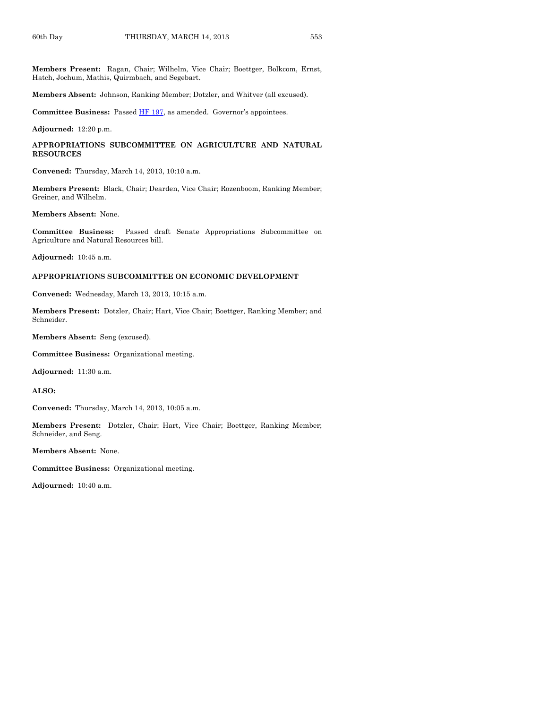**Members Present:** Ragan, Chair; Wilhelm, Vice Chair; Boettger, Bolkcom, Ernst, Hatch, Jochum, Mathis, Quirmbach, and Segebart.

**Members Absent:** Johnson, Ranking Member; Dotzler, and Whitver (all excused).

Committee Business: Passed **HF 197**, as amended. Governor's appointees.

**Adjourned:** 12:20 p.m.

**APPROPRIATIONS SUBCOMMITTEE ON AGRICULTURE AND NATURAL RESOURCES**

**Convened:** Thursday, March 14, 2013, 10:10 a.m.

**Members Present:** Black, Chair; Dearden, Vice Chair; Rozenboom, Ranking Member; Greiner, and Wilhelm.

**Members Absent:** None.

**Committee Business:** Passed draft Senate Appropriations Subcommittee on Agriculture and Natural Resources bill.

**Adjourned:** 10:45 a.m.

#### **APPROPRIATIONS SUBCOMMITTEE ON ECONOMIC DEVELOPMENT**

**Convened:** Wednesday, March 13, 2013, 10:15 a.m.

**Members Present:** Dotzler, Chair; Hart, Vice Chair; Boettger, Ranking Member; and Schneider.

**Members Absent:** Seng (excused).

**Committee Business:** Organizational meeting.

**Adjourned:** 11:30 a.m.

**ALSO:**

**Convened:** Thursday, March 14, 2013, 10:05 a.m.

**Members Present:** Dotzler, Chair; Hart, Vice Chair; Boettger, Ranking Member; Schneider, and Seng.

**Members Absent:** None.

**Committee Business:** Organizational meeting.

**Adjourned:** 10:40 a.m.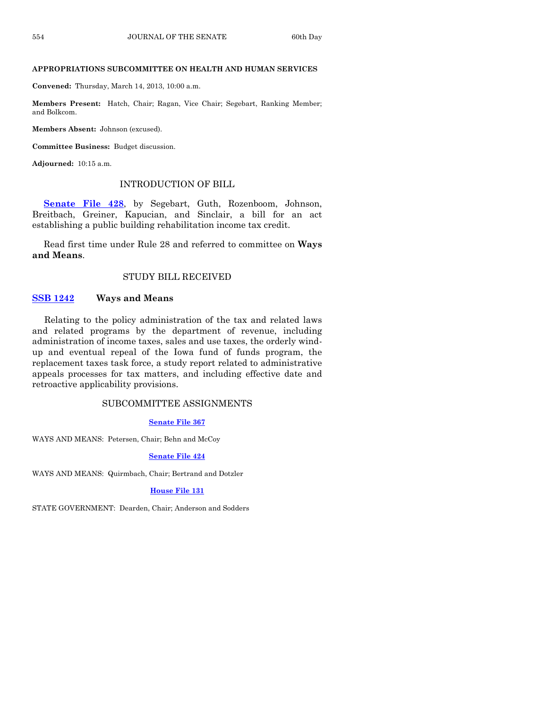### **APPROPRIATIONS SUBCOMMITTEE ON HEALTH AND HUMAN SERVICES**

**Convened:** Thursday, March 14, 2013, 10:00 a.m.

**Members Present:** Hatch, Chair; Ragan, Vice Chair; Segebart, Ranking Member; and Bolkcom.

**Members Absent:** Johnson (excused).

**Committee Business:** Budget discussion.

**Adjourned:** 10:15 a.m.

### INTRODUCTION OF BILL

**[Senate File 428](http://coolice.legis.state.ia.us/Cool-ICE/default.asp?Category=billinfo&Service=Billbook&frame=1&GA=85&hbill=SF428)**, by Segebart, Guth, Rozenboom, Johnson, Breitbach, Greiner, Kapucian, and Sinclair, a bill for an act establishing a public building rehabilitation income tax credit.

Read first time under Rule 28 and referred to committee on **Ways and Means**.

### STUDY BILL RECEIVED

### **[SSB 1242](http://coolice.legis.state.ia.us/Cool-ICE/default.asp?Category=billinfo&Service=Billbook&frame=1&GA=85&hbill=SSB1242) Ways and Means**

Relating to the policy administration of the tax and related laws and related programs by the department of revenue, including administration of income taxes, sales and use taxes, the orderly windup and eventual repeal of the Iowa fund of funds program, the replacement taxes task force, a study report related to administrative appeals processes for tax matters, and including effective date and retroactive applicability provisions.

### SUBCOMMITTEE ASSIGNMENTS

### **[Senate File 367](http://coolice.legis.state.ia.us/Cool-ICE/default.asp?Category=billinfo&Service=Billbook&frame=1&GA=85&hbill=SF367)**

WAYS AND MEANS: Petersen, Chair; Behn and McCoy

### **[Senate File 424](http://coolice.legis.state.ia.us/Cool-ICE/default.asp?Category=billinfo&Service=Billbook&frame=1&GA=85&hbill=SF424)**

WAYS AND MEANS: Quirmbach, Chair; Bertrand and Dotzler

### **[House File 131](http://coolice.legis.state.ia.us/Cool-ICE/default.asp?Category=billinfo&Service=Billbook&frame=1&GA=85&hbill=HF131)**

STATE GOVERNMENT: Dearden, Chair; Anderson and Sodders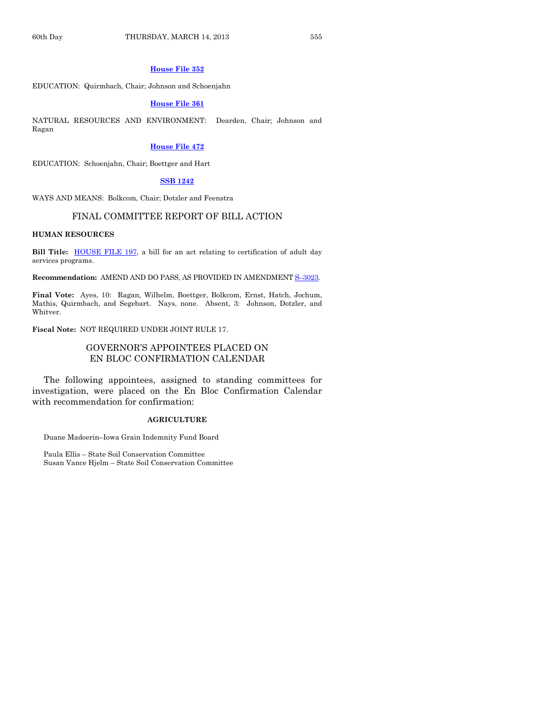#### **[House File 352](http://coolice.legis.state.ia.us/Cool-ICE/default.asp?Category=billinfo&Service=Billbook&frame=1&GA=85&hbill=HF352)**

EDUCATION: Quirmbach, Chair; Johnson and Schoenjahn

### **[House File 361](http://coolice.legis.state.ia.us/Cool-ICE/default.asp?Category=billinfo&Service=Billbook&frame=1&GA=85&hbill=HF361)**

NATURAL RESOURCES AND ENVIRONMENT: Dearden, Chair; Johnson and Ragan

#### **[House File 472](http://coolice.legis.state.ia.us/Cool-ICE/default.asp?Category=billinfo&Service=Billbook&frame=1&GA=85&hbill=HF472)**

EDUCATION: Schoenjahn, Chair; Boettger and Hart

#### **[SSB 1242](http://coolice.legis.state.ia.us/Cool-ICE/default.asp?Category=billinfo&Service=Billbook&frame=1&GA=85&hbill=SSB1242)**

WAYS AND MEANS: Bolkcom, Chair; Dotzler and Feenstra

### FINAL COMMITTEE REPORT OF BILL ACTION

#### **HUMAN RESOURCES**

**Bill Title:** [HOUSE FILE 197,](http://coolice.legis.state.ia.us/Cool-ICE/default.asp?Category=billinfo&Service=Billbook&frame=1&GA=85&hbill=HF197) a bill for an act relating to certification of adult day services programs.

**Recommendation:** AMEND AND DO PASS, AS PROVIDED IN AMENDMENT S–[3023.](http://coolice.legis.state.ia.us/Cool-ICE/default.asp?Category=billinfo&Service=Billbook&frame=1&GA=85&hbill=S3023)

**Final Vote:** Ayes, 10: Ragan, Wilhelm, Boettger, Bolkcom, Ernst, Hatch, Jochum, Mathis, Quirmbach, and Segebart. Nays, none. Absent, 3: Johnson, Dotzler, and Whitver.

**Fiscal Note:** NOT REQUIRED UNDER JOINT RULE 17.

### GOVERNOR'S APPOINTEES PLACED ON EN BLOC CONFIRMATION CALENDAR

The following appointees, assigned to standing committees for investigation, were placed on the En Bloc Confirmation Calendar with recommendation for confirmation:

#### **AGRICULTURE**

Duane Madoerin–Iowa Grain Indemnity Fund Board

Paula Ellis – State Soil Conservation Committee Susan Vance Hjelm – State Soil Conservation Committee